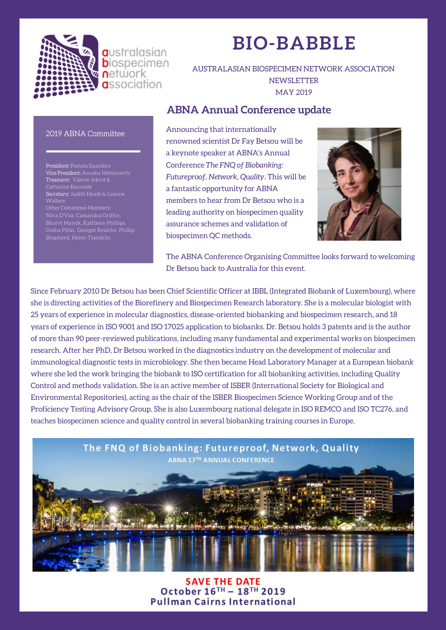

**a**ustralasian **b**iospecimen **n**etwork **a**ssociation

# **BIO-BABBLE**

AUSTRALASIAN BIOSPECIMEN NETWORK ASSOCIATION **NEWSLETTER** MAY 2019

### **ABNA Annual Conference update**

### 2019 ABNA Committee

President: Pamela Saunders Vice President: Anusha Hettiaratchi Treasurer: Valerie Jakrot & Catherine Kennedy Secretary: Judith Heads & Leanne

Bharvi Manek, Kathleen Phillips, Ussha Pillai, Georget Reaiche, Phillip Shepherd, Helen Tsimiklis.

Announcing that internationally renowned scientist Dr Fay Betsou will be a keynote speaker at ABNA's Annual Conference *The FNQ of Biobanking: Futureproof, Network, Quality*. This will be a fantastic opportunity for ABNA members to hear from Dr Betsou who is a leading authority on biospecimen quality assurance schemes and validation of biospecimen QC methods.



The ABNA Conference Organising Committee looks forward to welcoming Dr Betsou back to Australia for this event.

Since February 2010 Dr Betsou has been Chief Scientific Officer at IBBL (Integrated Biobank of Luxembourg), where she is directing activities of the Biorefinery and Biospecimen Research laboratory. She is a molecular biologist with 25 years of experience in molecular diagnostics, disease-oriented biobanking and biospecimen research, and 18 years of experience in ISO 9001 and ISO 17025 application to biobanks. Dr. Betsou holds 3 patents and is the author of more than 90 peer-reviewed publications, including many fundamental and experimental works on biospecimen research. After her PhD, Dr Betsou worked in the diagnostics industry on the development of molecular and immunological diagnostic tests in microbiology. She then became Head Laboratory Manager at a European biobank where she led the work bringing the biobank to ISO certification for all biobanking activities, including Quality Control and methods validation. She is an active member of ISBER (International Society for Biological and Environmental Repositories), acting as the chair of the ISBER Biospecimen Science Working Group and of the Proficiency Testing Advisory Group. She is also Luxembourg national delegate in ISO REMCO and ISO TC276, and teaches biospecimen science and quality control in several biobanking training courses in Europe.



**SAVE THE DATE** October 16TH - 18TH 2019 **Pullman Cairns International**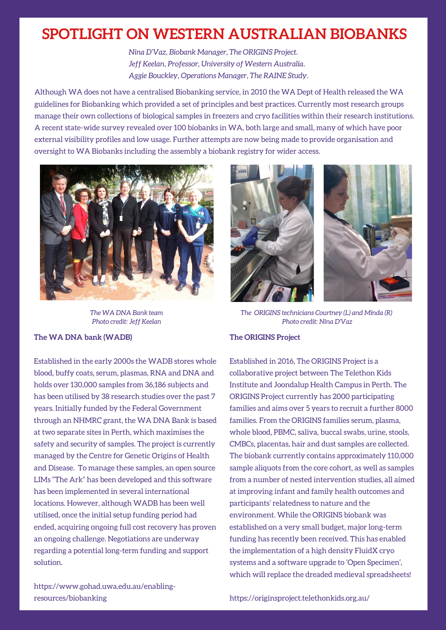## **SPOTLIGHT ON WESTERN AUSTRALIAN BIOBANKS**

*Nina D'Vaz, Biobank Manager, The ORIGINS Project. Jeff Keelan, Professor, University of Western Australia. Aggie Bouckley, Operations Manager, The RAINE Study.*

Although WA does not have a centralised Biobanking service, in 2010 the WA Dept of Health released the WA guidelines for Biobanking which provided a set of principles and best practices. Currently most research groups manage their own collections of biological samples in freezers and cryo facilities within their research institutions. A recent state-wide survey revealed over 100 biobanks in WA, both large and small, many of which have poor external visibility profiles and low usage. Further attempts are now being made to provide organisation and oversight to WA Biobanks including the assembly a biobank registry for wider access.



*The WA DNA Bank team Photo credit: Jeff Keelan*

### **The WA DNA bank (WADB)**

Established in the early 2000s the WADB stores whole blood, buffy coats, serum, plasmas, RNA and DNA and holds over 130,000 samples from 36,186 subjects and has been utilised by 38 research studies over the past 7 years. Initially funded by the Federal Government through an NHMRC grant, the WA DNA Bank is based at two separate sites in Perth, which maximises the safety and security of samples. The project is currently managed by the Centre for Genetic Origins of Health and Disease. To manage these samples, an open source LIMs "The Ark" has been developed and this software has been implemented in several international locations. However, although WADB has been well utilised, once the initial setup funding period had ended, acquiring ongoing full cost recovery has proven an ongoing challenge. Negotiations are underway regarding a potential long-term funding and support solution.



*The ORIGINS technicians Courtney (L) and Minda (R) Photo credit: Nina D'Vaz*

### **The ORIGINS Project**

Established in 2016, The ORIGINS Project is a collaborative project between The Telethon Kids Institute and Joondalup Health Campus in Perth. The ORIGINS Project currently has 2000 participating families and aims over 5 years to recruit a further 8000 families. From the ORIGINS families serum, plasma, whole blood, PBMC, saliva, buccal swabs, urine, stools, CMBCs, placentas, hair and dust samples are collected. The biobank currently contains approximately 110,000 sample aliquots from the core cohort, as well as samples from a number of nested intervention studies, all aimed at improving infant and family health outcomes and participants' relatedness to nature and the environment. While the ORIGINS biobank was established on a very small budget, major long-term funding has recently been received. This has enabled the implementation of a high density FluidX cryo systems and a software upgrade to 'Open Specimen', which will replace the dreaded medieval spreadsheets!

https://www.gohad.uwa.edu.au/enablingresources/biobanking

#### https://originsproject.telethonkids.org.au/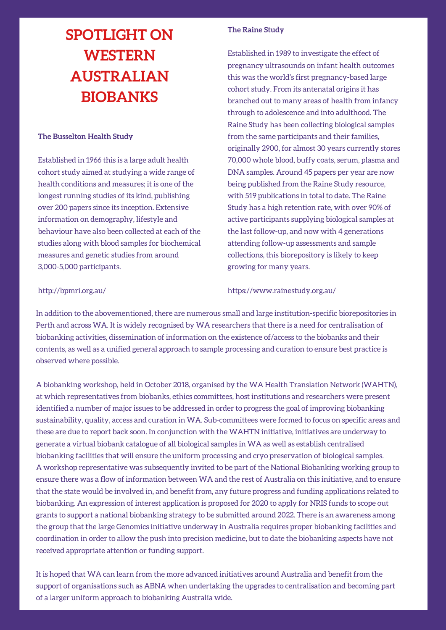# **SPOTLIGHT ON WESTERN AUSTRALIAN BIOBANKS**

### **The Busselton Health Study**

Established in 1966 this is a large adult health cohort study aimed at studying a wide range of health conditions and measures; it is one of the longest running studies of its kind, publishing over 200 papers since its inception. Extensive information on demography, lifestyle and behaviour have also been collected at each of the studies along with blood samples for biochemical measures and genetic studies from around 3,000-5,000 participants.

### **The Raine Study**

Established in 1989 to investigate the effect of pregnancy ultrasounds on infant health outcomes this was the world's first pregnancy-based large cohort study. From its antenatal origins it has branched out to many areas of health from infancy through to adolescence and into adulthood. The Raine Study has been collecting biological samples from the same participants and their families, originally 2900, for almost 30 years currently stores 70,000 whole blood, buffy coats, serum, plasma and DNA samples. Around 45 papers per year are now being published from the Raine Study resource, with 519 publications in total to date. The Raine Study has a high retention rate, with over 90% of active participants supplying biological samples at the last follow-up, and now with 4 generations attending follow-up assessments and sample collections, this biorepository is likely to keep growing for many years.

#### http://bpmri.org.au/

https://www.rainestudy.org.au/

In addition to the abovementioned, there are numerous small and large institution-specific biorepositories in Perth and across WA. It is widely recognised by WA researchers that there is a need for centralisation of biobanking activities, dissemination of information on the existence of/access to the biobanks and their contents, as well as a unified general approach to sample processing and curation to ensure best practice is observed where possible.

A biobanking workshop, held in October 2018, organised by the WA Health Translation Network (WAHTN), at which representatives from biobanks, ethics committees, host institutions and researchers were present identified a number of major issues to be addressed in order to progress the goal of improving biobanking sustainability, quality, access and curation in WA. Sub-committees were formed to focus on specific areas and these are due to report back soon. In conjunction with the WAHTN initiative, initiatives are underway to generate a virtual biobank catalogue of all biological samples in WA as well as establish centralised biobanking facilities that will ensure the uniform processing and cryo preservation of biological samples. A workshop representative was subsequently invited to be part of the National Biobanking working group to ensure there was a flow of information between WA and the rest of Australia on this initiative, and to ensure that the state would be involved in, and benefit from, any future progress and funding applications related to biobanking. An expression of interest application is proposed for 2020 to apply for NRIS funds to scope out grants to support a national biobanking strategy to be submitted around 2022. There is an awareness among the group that the large Genomics initiative underway in Australia requires proper biobanking facilities and coordination in order to allow the push into precision medicine, but to date the biobanking aspects have not received appropriate attention or funding support.

It is hoped that WA can learn from the more advanced initiatives around Australia and benefit from the support of organisations such as ABNA when undertaking the upgrades to centralisation and becoming part of a larger uniform approach to biobanking Australia wide.